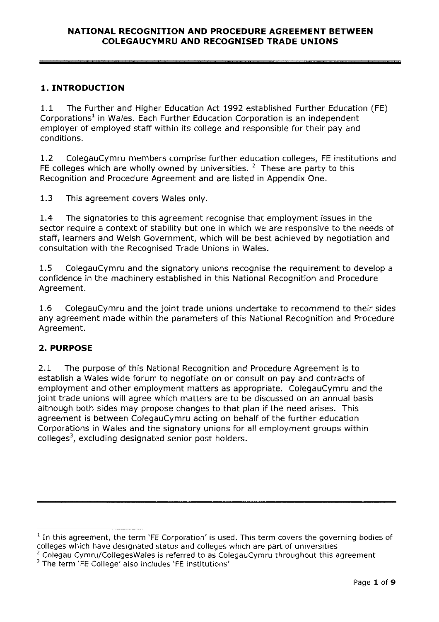# 1. INTRODUCTION

1.1 The Further and Higher Education Act 1992 established Further Education (FE) Corporations<sup>1</sup> in Wales. Each Further Education Corporation is an independent employer of employed staff within its college and responsible for their pay and conditions.

1.2 ColegauCymru members comprise further education colleges, FE institutions and FE colleges which are wholly owned by universities.  $2$  These are party to this Recognition and Procedure Agreement and are listed in Appendix One.

1.3 This agreemen<sup>t</sup> covers Wales only.

1.4 The signatories to this agreemen<sup>t</sup> recognise that employment issues in the sector require <sup>a</sup> context of stability but one in which we are responsive to the needs of staff, learners and Welsh Government, which will be best achieved by negotiation and consultation with the Recognised Trade Unions in Wales.

1.5 ColegauCymru and the signatory unions recognise the requirement to develop <sup>a</sup> confidence in the machinery established in this National Recognition and Procedure Agreement.

1.6 ColegauCymru and the joint trade unions undertake to recommend to their sides any agreemen<sup>t</sup> made within the parameters of this National Recognition and Procedure Agreement.

# 2. PURPOSE

2.1 The purpose of this National Recognition and Procedure Agreement is to establish <sup>a</sup> Wales wide forum to negotiate on or consult on pay and contracts of employment and other employment matters as appropriate. ColegauCymru and the joint trade unions will agree which matters are to be discussed on an annual basis although both sides may propose changes to that plan if the need arises. This agreemen<sup>t</sup> is between ColegauCymru acting on behalf of the further education Corporations in Wales and the signatory unions for all employment groups within  $colleges<sup>3</sup>$ , excluding designated senior post holders.

 $1$  In this agreement, the term 'FE Corporation' is used. This term covers the governing bodies of colleges which have designated status and colleges which are part of universities

<sup>&</sup>lt;sup>2</sup> Colegau Cymru/Colleges Wales is referred to as Colegau Cymru throughout this agreement

<sup>&</sup>lt;sup>3</sup> The term 'FE College' also includes 'FE institutions'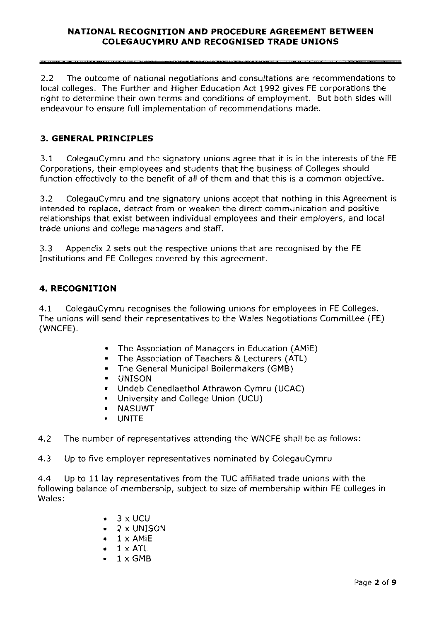2.2 The outcome of national negotiations and consultations are recommendations to local colleges. The Further and Higher Education Act 1992 gives FE corporations the right to determine their own terms and conditions of employment. But both sides will endeavour to ensure full implementation of recommendations made.

# 3. GENERAL PRINCIPLES

3.1 ColegauCymru and the signatory unions agree that it is in the interests of the FE Corporations, their employees and students that the business of Colleges should function effectively to the benefit of all of them and that this is <sup>a</sup> common objective.

3.2 ColegauCymru and the signatory unions accep<sup>t</sup> that nothing in this Agreement is intended to replace, detract from or weaken the direct communication and positive relationships that exist between individual employees and their employers, and local trade unions and college managers and staff.

3.3 Appendix 2 sets out the respective unions that are recognised by the FE Institutions and FE Colleges covered by this agreement.

## 4. RECOGNITION

4.1 ColegauCymru recognises the following unions for employees in FE Colleges. The unions will send their representatives to the Wales Negotiations Committee (FE) (WNCFE).

- •The Association of Managers in Education (AMiE)
- •The Association of Teachers & Lecturers (ATL)
- •The General Municipal Boilermakers (GMB)
- •UNISON
- •Undeb Cenedlaethol Athrawon Cymru (UCAC)
- •University and College Union (UCU)
- NASUWT
- \*UNITE

4.2 The number of representatives attending the WNCFE shall be as follows:

4.3 Up to five employer representatives nominated by ColegauCymru

4.4 Up to 11 lay representatives from the TUC affiliated trade unions with the following balance of membership, subject to size of membership within FE colleges in Wales:

- $\bullet$  3 x UCU
- •2 <sup>x</sup> UNISON
- • $1 \times$  AMiE
- • $1 \times$  ATL
- • $1 \times$ GMB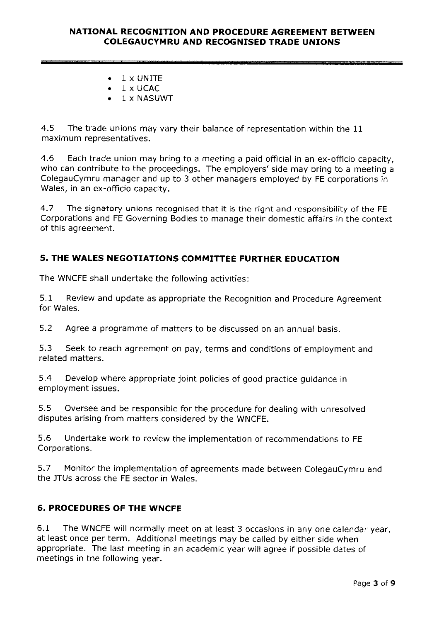- •1xUNITE
- •1xUCAC
- •1 <sup>x</sup> NASUWT

4.5 The trade unions may vary their balance of representation within the <sup>11</sup> maximum representatives.

4.6 Each trade union may bring to <sup>a</sup> meeting <sup>a</sup> paid official in an ex-officio capacity, who can contribute to the proceedings. The employers' side may bring to <sup>a</sup> meeting <sup>a</sup> ColegauCymru manager and up to <sup>3</sup> other managers employed by FE corporations in Wales, in an ex-officio capacity.

4.7 The signatory unions recognised that it is the right and responsibility of the FE Corporations and FE Governing Bodies to manage their domestic affairs in the context of this agreement.

# 5. THE WALES NEGOTIATIONS COMMITTEE FURTHER EDUCATION

The WNCFE shall undertake the following activities:

5.1 Review and update as appropriate the Recognition and Procedure Agreement for Wales.

5.2 Agree <sup>a</sup> programme of matters to be discussed on an annual basis.

5.3 Seek to reach agreemen<sup>t</sup> on pay, terms and conditions of employment and related matters.

5.4 Develop where appropriate joint policies of goo<sup>d</sup> practice guidance in employment issues.

5.5 Oversee and be responsible for the procedure for dealing with unresolved disputes arising from matters considered by the WNCFE.

5.6 Undertake work to review the implementation of recommendations to FE Corporations.

5.7 Monitor the implementation of agreements made between ColegauCymru and the JTUs across the FE sector in Wales.

## 6. PROCEDURES OF THE WNCFE

6.1 The WNCFE will normally meet on at least <sup>3</sup> occasions in any one calendar year, at least once per term, Additional meetings may be called by either side when appropriate. The last meeting in an academic year will agree if possible dates of meetings in the following year.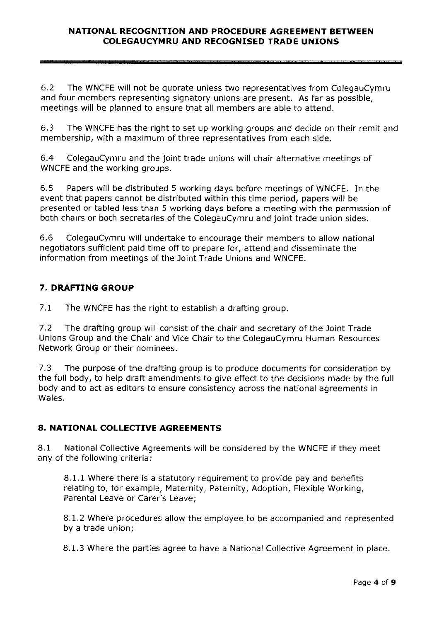6.2 The WNCFE will not be quorate unless two representatives from ColegauCymru and four members representing signatory unions are present. As far as possible, meetings will be planned to ensure that all members are able to attend.

6.3 The WNCFE has the right to set up working groups and decide on their remit and membership, with <sup>a</sup> maximum of three representatives from each side.

6.4 ColegauCymru and the joint trade unions will chair alternative meetings of WNCFE and the working groups.

6.5 Papers will be distributed 5 working days before meetings of WNCFE. In the event that papers cannot be distributed within this time period, papers will be presented or tabled less than 5 working days before <sup>a</sup> meeting with the permission of both chairs or both secretaries of the ColegauCymru and joint trade union sides.

6.6 ColegauCymru will undertake to encourage their members to allow national negotiators sufficient paid time off to prepare for, attend and disseminate the information from meetings of the joint Trade Unions and WNCFE.

## 7. DRAFTING GROUP

7.1 The WNCFE has the right to establish <sup>a</sup> drafting group.

7.2 The drafting group will consist of the chair and secretary of the joint Trade Unions Group and the Chair and Vice Chair to the ColegauCymru Human Resources Network Group or their nominees.

7.3 The purpose of the drafting group is to produce documents for consideration by the full body, to help draft amendments to <sup>g</sup>ive effect to the decisions made by the full body and to act as editors to ensure consistency across the national agreements in Wales.

## 8. NATIONAL COLLECTIVE AGREEMENTS

8.1 National Collective Agreements will be considered by the WNCFE if they meet any of the following criteria:

8.1.1 Where there is <sup>a</sup> statutory requirement to provide pay and benefits relating to, for example, Maternity, Paternity, Adoption, Flexible Working, Parental Leave or Carer's Leave;

8.1.2 Where procedures allow the employee to be accompanied and represented by <sup>a</sup> trade union;

8.1.3 Where the parties agree to have <sup>a</sup> National Collective Agreement in <sup>p</sup>lace.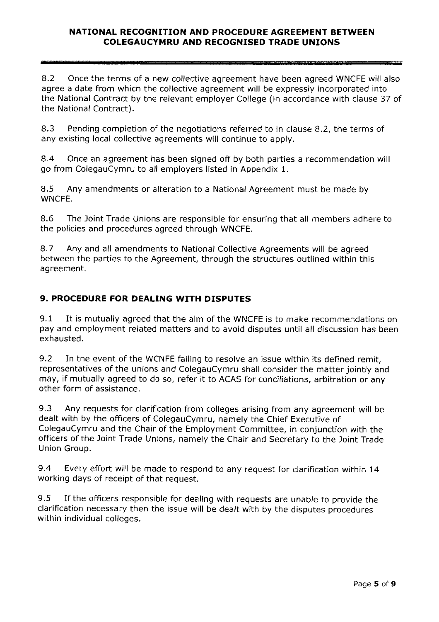8.2 Once the terms of a new collective agreement have been agreed WNCFE will also agree <sup>a</sup> date from which the collective agreemen<sup>t</sup> will be expressly incorporated into the National Contract by the relevant employer College (in accordance with clause 37 of the National Contract).

8.3 Pending completion of the negotiations referred to in clause 8.2, the terms of any existing local collective agreements will continue to apply.

8.4 Once an agreemen<sup>t</sup> has been signed off by both parties <sup>a</sup> recommendation will go from ColegauCymru to all employers listed in Appendix 1.

8.5 Any amendments or alteration to <sup>a</sup> National Agreement must be made by WNCFE.

8.6 The Joint Trade Unions are responsible for ensuring that all members adhere to the policies and procedures agreed through WNCFE.

8.7 Any and all amendments to National Collective Agreements will be agreed between the parties to the Agreement, through the structures outlined within this agreement.

# 9. PROCEDURE FOR DEALING WITH DISPUTES

9.1 It is mutually agreed that the aim of the WNCFE is to make recommendations on pay and employment related matters and to avoid disputes until all discussion has been exhausted.

9.2 In the event of the WCNFE failing to resolve an issue within its defined remit, representatives of the unions and ColegauCymru shall consider the matter jointly and may, if mutually agree<sup>d</sup> to do so, refer it to ACAS for conciliations, arbitration or any other form of assistance.

9.3 Any requests for clarification from colleges arising from any agreemen<sup>t</sup> will be dealt with by the officers of ColegauCymru, namely the Chief Executive of ColegauCymru and the Chair of the Employment Committee, in conjunction with the officers of the joint Trade Unions, namely the Chair and Secretary to the joint Trade Union Group.

9.4 Every effort will be made to respon<sup>d</sup> to any reques<sup>t</sup> for clarification within <sup>14</sup> working days of receipt of that request.

9.5 If the officers responsible for dealing with requests are unable to provide the clarification necessary then the issue will be dealt with by the disputes procedures within individual colleges.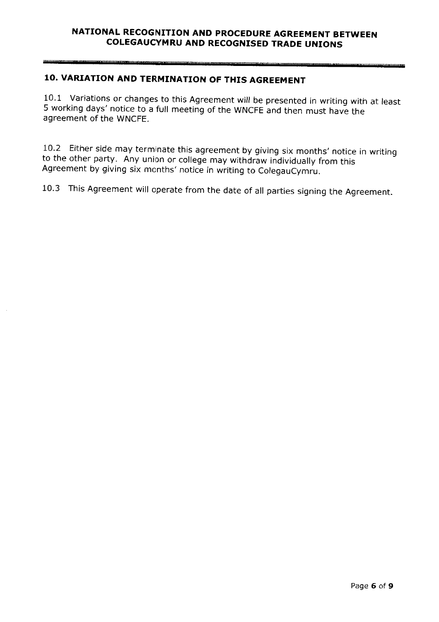# 10. VARIATION AND TERMINATION OF THIS AGREEMENT

10.1 Variations or changes to this Agreement will be presented in writing with at least <sup>5</sup> working days' notice to <sup>a</sup> full meeting of the WNCFE and then must have the agreement of the WNCFE.

10.2 Either side may terminate this agreement by giving six months' notice in writing to the other party. Any union or college may withdraw individually from this Agreement by giving six months' notice in writing to Colega

10.3 This Agreement will operate from the date of all parties signing the Agreement.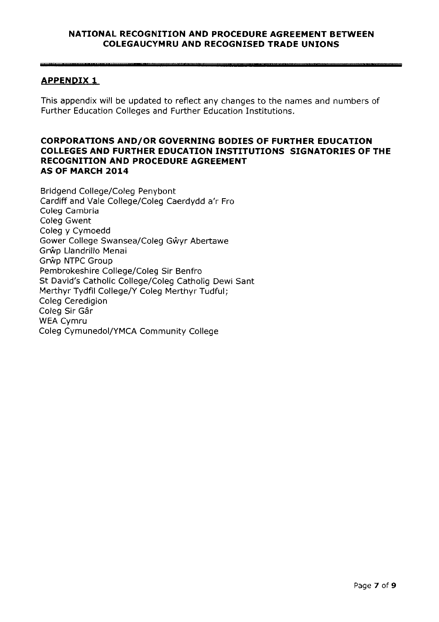## **APPENDIX 1**

This appendix will be updated to reflect any changes to the names and numbers of Further Education Colleges and Further Education Institutions.

#### CORPORATIONS AND/OR GOVERNING BODIES OF FURTHER EDUCATION COLLEGES AND FURTHER EDUCATION INSTITUTIONS SIGNATORIES OF THE RECOGNITION AND PROCEDURE AGREEMENT AS OF MARCH 2014

Bridgend College/Coleg Penybont Cardiff and Vale College/Coleg Caerdydd <sup>a</sup>'r Fro Coleg Cambria Coleg Gwent Coleg <sup>y</sup> Cymoedd Gower College Swansea/Coleg Gŵyr Abertawe Grip Llandrillo Menai Grŵp NTPC Group Pembrokeshire College/Coleg Sir Benfro St David's Catholic College/Coleg Catholig Dewi Sant Merthyr Tydfil College/Y Coleg Merthyr Tudful; Coleg Ceredigion Coleg Sir Gâr WEA Cymru Coleg Cymunedol/YMCA Community College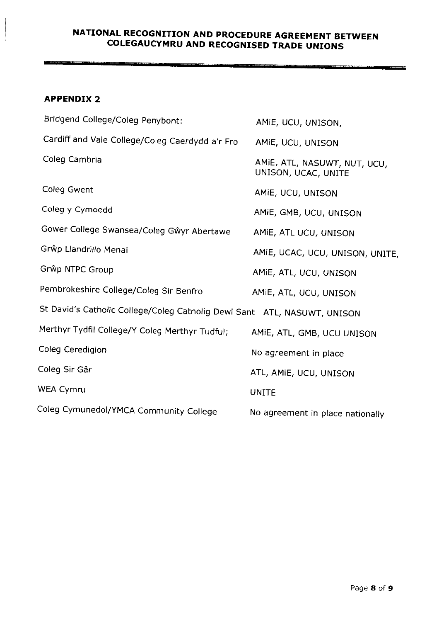<u> Alexandria componente e consegui</u>

-------

#### APPENDIX 2

<u>ministrativa et internacionale di </u>

| Bridgend College/Coleg Penybont:                                         | AMIE, UCU, UNISON,                                  |
|--------------------------------------------------------------------------|-----------------------------------------------------|
| Cardiff and Vale College/Coleg Caerdydd a'r Fro                          | AMIE, UCU, UNISON                                   |
| Coleg Cambria                                                            | AMIE, ATL, NASUWT, NUT, UCU,<br>UNISON, UCAC, UNITE |
| Coleg Gwent                                                              | AMIE, UCU, UNISON                                   |
| Coleg y Cymoedd                                                          | AMIE, GMB, UCU, UNISON                              |
| Gower College Swansea/Coleg Gŵyr Abertawe                                | AMIE, ATL UCU, UNISON                               |
| Grŵp Llandrillo Menai                                                    | AMIE, UCAC, UCU, UNISON, UNITE,                     |
| Grŵp NTPC Group                                                          | AMIE, ATL, UCU, UNISON                              |
| Pembrokeshire College/Coleg Sir Benfro                                   | AMIE, ATL, UCU, UNISON                              |
| St David's Catholic College/Coleg Catholig Dewi Sant ATL, NASUWT, UNISON |                                                     |
| Merthyr Tydfil College/Y Coleg Merthyr Tudful;                           | AMIE, ATL, GMB, UCU UNISON                          |
| Coleg Ceredigion                                                         | No agreement in place                               |
| Coleg Sir Gâr                                                            | ATL, AMIE, UCU, UNISON                              |
| WEA Cymru                                                                | <b>UNITE</b>                                        |
| Coleg Cymunedol/YMCA Community College                                   | No agreement in place nationally                    |